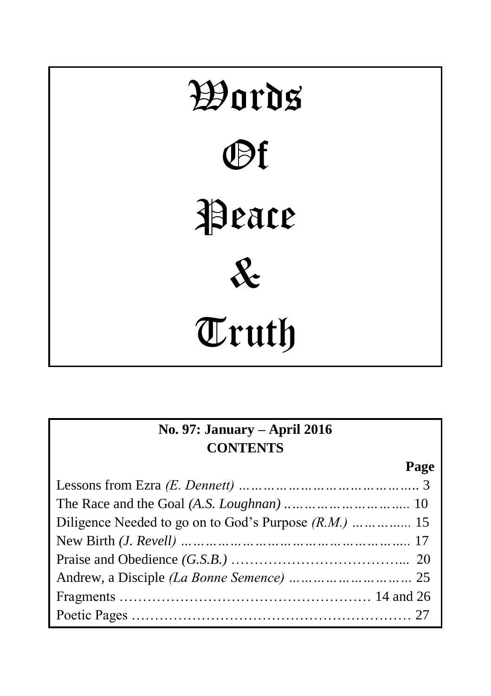

| No. 97: January – April 2016 |      |  |
|------------------------------|------|--|
| <b>CONTENTS</b>              |      |  |
|                              | Page |  |
|                              |      |  |
|                              |      |  |
|                              |      |  |
|                              |      |  |
|                              |      |  |
|                              |      |  |
|                              |      |  |
|                              |      |  |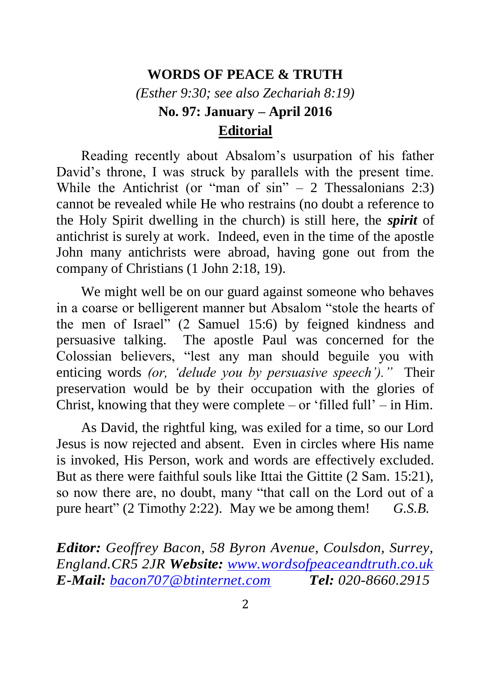### **WORDS OF PEACE & TRUTH**

*(Esther 9:30; see also Zechariah 8:19)* **No. 97: January – April 2016 Editorial**

Reading recently about Absalom's usurpation of his father David's throne, I was struck by parallels with the present time. While the Antichrist (or "man of  $\sin$ " – 2 Thessalonians 2:3) cannot be revealed while He who restrains (no doubt a reference to the Holy Spirit dwelling in the church) is still here, the *spirit* of antichrist is surely at work. Indeed, even in the time of the apostle John many antichrists were abroad, having gone out from the company of Christians (1 John 2:18, 19).

We might well be on our guard against someone who behaves in a coarse or belligerent manner but Absalom "stole the hearts of the men of Israel" (2 Samuel 15:6) by feigned kindness and persuasive talking. The apostle Paul was concerned for the Colossian believers, "lest any man should beguile you with enticing words *(or, 'delude you by persuasive speech')."* Their preservation would be by their occupation with the glories of Christ, knowing that they were complete – or 'filled full' – in Him.

As David, the rightful king, was exiled for a time, so our Lord Jesus is now rejected and absent. Even in circles where His name is invoked, His Person, work and words are effectively excluded. But as there were faithful souls like Ittai the Gittite (2 Sam. 15:21), so now there are, no doubt, many "that call on the Lord out of a pure heart" (2 Timothy 2:22). May we be among them! *G.S.B.*

*Editor: Geoffrey Bacon, 58 Byron Avenue, Coulsdon, Surrey, England.CR5 2JR Website: [www.wordsofpeaceandtruth.co.uk](http://www.wordsofpeaceandtruth.co.uk/) E-Mail: [bacon707@btinternet.com](mailto:bacon707@btinternet.com) Tel: 020-8660.2915*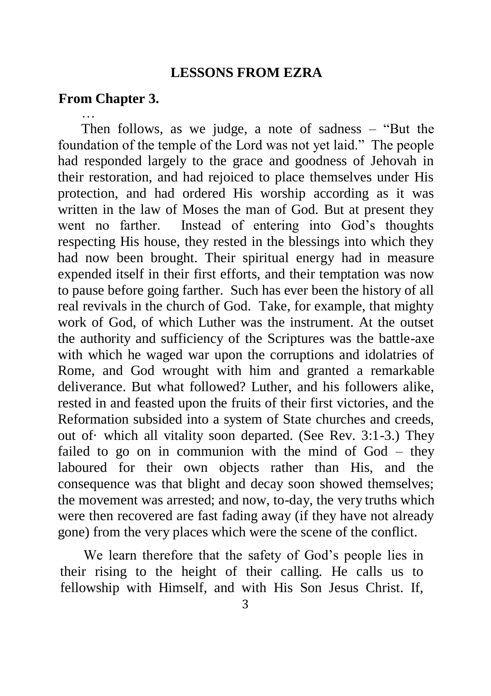#### **LESSONS FROM EZRA**

### **From Chapter 3.**

… Then follows, as we judge, a note of sadness – "But the foundation of the temple of the Lord was not yet laid." The people had responded largely to the grace and goodness of Jehovah in their restoration, and had rejoiced to place themselves under His protection, and had ordered His worship according as it was written in the law of Moses the man of God. But at present they went no farther. Instead of entering into God's thoughts respecting His house, they rested in the blessings into which they had now been brought. Their spiritual energy had in measure expended itself in their first efforts, and their temptation was now to pause before going farther. Such has ever been the history of all real revivals in the church of God. Take, for example, that mighty work of God, of which Luther was the instrument. At the outset the authority and sufficiency of the Scriptures was the battle-axe with which he waged war upon the corruptions and idolatries of Rome, and God wrought with him and granted a remarkable deliverance. But what followed? Luther, and his followers alike, rested in and feasted upon the fruits of their first victories, and the Reformation subsided into a system of State churches and creeds, out of· which all vitality soon departed. (See Rev. 3:1-3.) They failed to go on in communion with the mind of God – they laboured for their own objects rather than His, and the consequence was that blight and decay soon showed themselves; the movement was arrested; and now, to-day, the very truths which were then recovered are fast fading away (if they have not already gone) from the very places which were the scene of the conflict.

We learn therefore that the safety of God's people lies in their rising to the height of their calling. He calls us to fellowship with Himself, and with His Son Jesus Christ. If,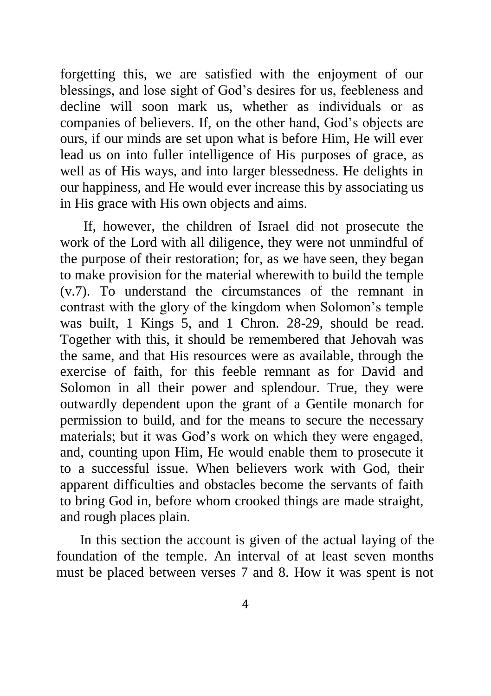forgetting this, we are satisfied with the enjoyment of our blessings, and lose sight of God's desires for us, feebleness and decline will soon mark us, whether as individuals or as companies of believers. If, on the other hand, God's objects are ours, if our minds are set upon what is before Him, He will ever lead us on into fuller intelligence of His purposes of grace, as well as of His ways, and into larger blessedness. He delights in our happiness, and He would ever increase this by associating us in His grace with His own objects and aims.

If, however, the children of Israel did not prosecute the work of the Lord with all diligence, they were not unmindful of the purpose of their restoration; for, as we have seen, they began to make provision for the material wherewith to build the temple (v.7). To understand the circumstances of the remnant in contrast with the glory of the kingdom when Solomon's temple was built, 1 Kings 5, and 1 Chron. 28-29, should be read. Together with this, it should be remembered that Jehovah was the same, and that His resources were as available, through the exercise of faith, for this feeble remnant as for David and Solomon in all their power and splendour. True, they were outwardly dependent upon the grant of a Gentile monarch for permission to build, and for the means to secure the necessary materials; but it was God's work on which they were engaged, and, counting upon Him, He would enable them to prosecute it to a successful issue. When believers work with God, their apparent difficulties and obstacles become the servants of faith to bring God in, before whom crooked things are made straight, and rough places plain.

In this section the account is given of the actual laying of the foundation of the temple. An interval of at least seven months must be placed between verses 7 and 8. How it was spent is not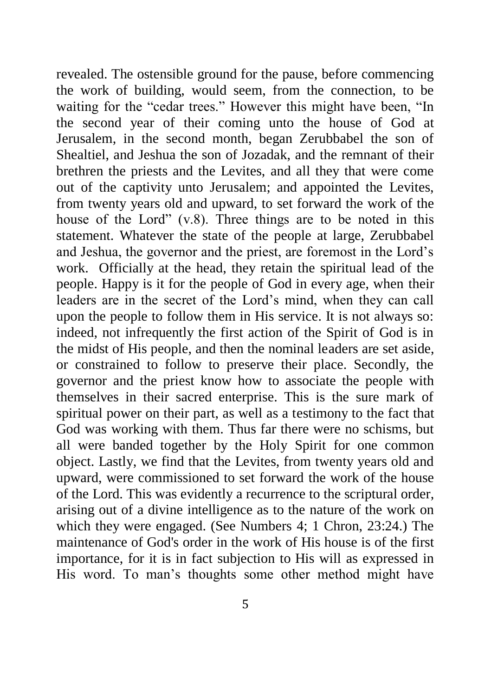revealed. The ostensible ground for the pause, before commencing the work of building, would seem, from the connection, to be waiting for the "cedar trees." However this might have been, "In the second year of their coming unto the house of God at Jerusalem, in the second month, began Zerubbabel the son of Shealtiel, and Jeshua the son of Jozadak, and the remnant of their brethren the priests and the Levites, and all they that were come out of the captivity unto Jerusalem; and appointed the Levites, from twenty years old and upward, to set forward the work of the house of the Lord" (v.8). Three things are to be noted in this statement. Whatever the state of the people at large, Zerubbabel and Jeshua, the governor and the priest, are foremost in the Lord's work. Officially at the head, they retain the spiritual lead of the people. Happy is it for the people of God in every age, when their leaders are in the secret of the Lord's mind, when they can call upon the people to follow them in His service. It is not always so: indeed, not infrequently the first action of the Spirit of God is in the midst of His people, and then the nominal leaders are set aside, or constrained to follow to preserve their place. Secondly, the governor and the priest know how to associate the people with themselves in their sacred enterprise. This is the sure mark of spiritual power on their part, as well as a testimony to the fact that God was working with them. Thus far there were no schisms, but all were banded together by the Holy Spirit for one common object. Lastly, we find that the Levites, from twenty years old and upward, were commissioned to set forward the work of the house of the Lord. This was evidently a recurrence to the scriptural order, arising out of a divine intelligence as to the nature of the work on which they were engaged. (See Numbers 4; 1 Chron, 23:24.) The maintenance of God's order in the work of His house is of the first importance, for it is in fact subjection to His will as expressed in His word. To man's thoughts some other method might have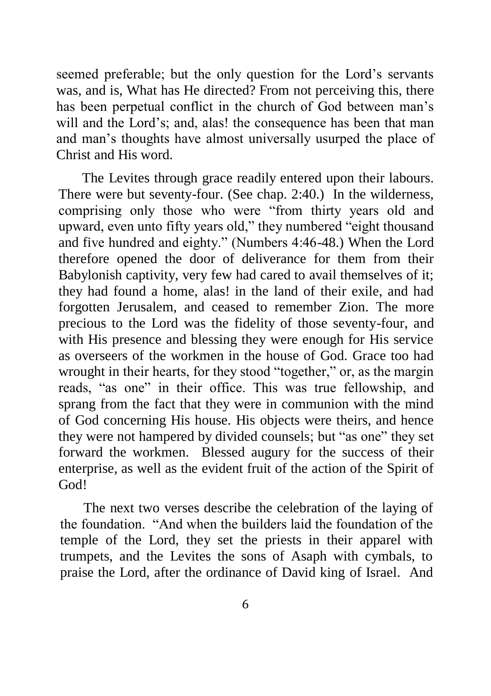seemed preferable; but the only question for the Lord's servants was, and is, What has He directed? From not perceiving this, there has been perpetual conflict in the church of God between man's will and the Lord's; and, alas! the consequence has been that man and man's thoughts have almost universally usurped the place of Christ and His word.

The Levites through grace readily entered upon their labours. There were but seventy-four. (See chap. 2:40.) In the wilderness, comprising only those who were "from thirty years old and upward, even unto fifty years old," they numbered "eight thousand and five hundred and eighty." (Numbers 4:46-48.) When the Lord therefore opened the door of deliverance for them from their Babylonish captivity, very few had cared to avail themselves of it; they had found a home, alas! in the land of their exile, and had forgotten Jerusalem, and ceased to remember Zion. The more precious to the Lord was the fidelity of those seventy-four, and with His presence and blessing they were enough for His service as overseers of the workmen in the house of God. Grace too had wrought in their hearts, for they stood "together," or, as the margin reads, "as one" in their office. This was true fellowship, and sprang from the fact that they were in communion with the mind of God concerning His house. His objects were theirs, and hence they were not hampered by divided counsels; but "as one" they set forward the workmen. Blessed augury for the success of their enterprise, as well as the evident fruit of the action of the Spirit of God!

The next two verses describe the celebration of the laying of the foundation. "And when the builders laid the foundation of the temple of the Lord, they set the priests in their apparel with trumpets, and the Levites the sons of Asaph with cymbals, to praise the Lord, after the ordinance of David king of Israel. And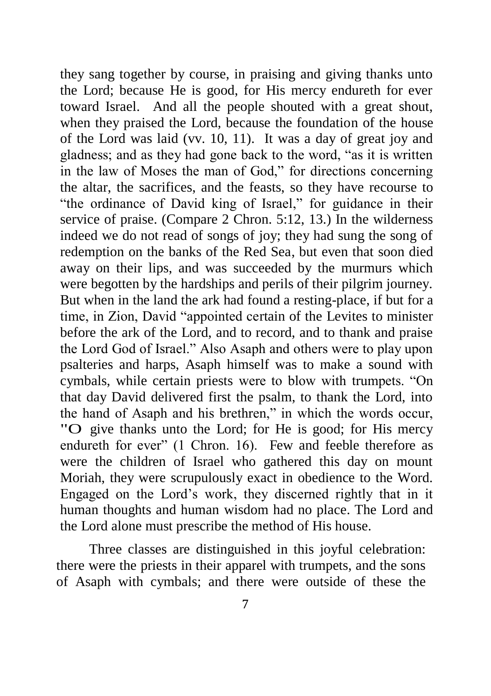they sang together by course, in praising and giving thanks unto the Lord; because He is good, for His mercy endureth for ever toward Israel. And all the people shouted with a great shout, when they praised the Lord, because the foundation of the house of the Lord was laid (vv. 10, 11). It was a day of great joy and gladness; and as they had gone back to the word, "as it is written in the law of Moses the man of God," for directions concerning the altar, the sacrifices, and the feasts, so they have recourse to "the ordinance of David king of Israel," for guidance in their service of praise. (Compare 2 Chron. 5:12, 13.) In the wilderness indeed we do not read of songs of joy; they had sung the song of redemption on the banks of the Red Sea, but even that soon died away on their lips, and was succeeded by the murmurs which were begotten by the hardships and perils of their pilgrim journey. But when in the land the ark had found a resting-place, if but for a time, in Zion, David "appointed certain of the Levites to minister before the ark of the Lord, and to record, and to thank and praise the Lord God of Israel." Also Asaph and others were to play upon psalteries and harps, Asaph himself was to make a sound with cymbals, while certain priests were to blow with trumpets. "On that day David delivered first the psalm, to thank the Lord, into the hand of Asaph and his brethren," in which the words occur, "O give thanks unto the Lord; for He is good; for His mercy endureth for ever" (1 Chron. 16). Few and feeble therefore as were the children of Israel who gathered this day on mount Moriah, they were scrupulously exact in obedience to the Word. Engaged on the Lord's work, they discerned rightly that in it human thoughts and human wisdom had no place. The Lord and the Lord alone must prescribe the method of His house.

Three classes are distinguished in this joyful celebration: there were the priests in their apparel with trumpets, and the sons of Asaph with cymbals; and there were outside of these the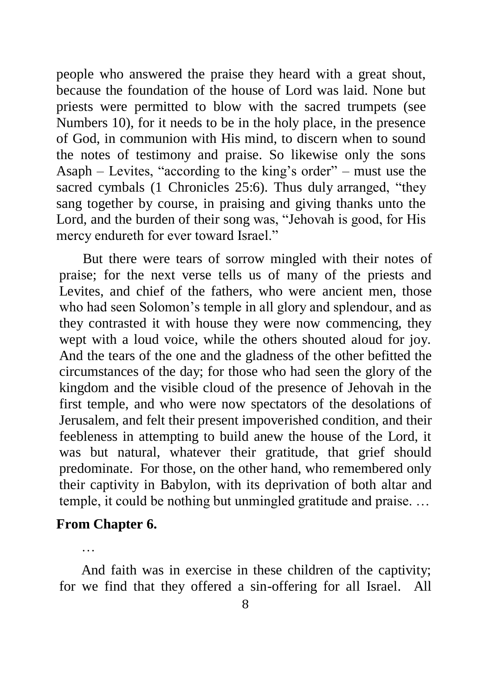people who answered the praise they heard with a great shout, because the foundation of the house of Lord was laid. None but priests were permitted to blow with the sacred trumpets (see Numbers 10), for it needs to be in the holy place, in the presence of God, in communion with His mind, to discern when to sound the notes of testimony and praise. So likewise only the sons Asaph – Levites, "according to the king's order" – must use the sacred cymbals (1 Chronicles 25:6). Thus duly arranged, "they sang together by course, in praising and giving thanks unto the Lord, and the burden of their song was, "Jehovah is good, for His mercy endureth for ever toward Israel."

But there were tears of sorrow mingled with their notes of praise; for the next verse tells us of many of the priests and Levites, and chief of the fathers, who were ancient men, those who had seen Solomon's temple in all glory and splendour, and as they contrasted it with house they were now commencing, they wept with a loud voice, while the others shouted aloud for joy. And the tears of the one and the gladness of the other befitted the circumstances of the day; for those who had seen the glory of the kingdom and the visible cloud of the presence of Jehovah in the first temple, and who were now spectators of the desolations of Jerusalem, and felt their present impoverished condition, and their feebleness in attempting to build anew the house of the Lord, it was but natural, whatever their gratitude, that grief should predominate. For those, on the other hand, who remembered only their captivity in Babylon, with its deprivation of both altar and temple, it could be nothing but unmingled gratitude and praise. …

## **From Chapter 6.**

…

And faith was in exercise in these children of the captivity; for we find that they offered a sin-offering for all Israel. All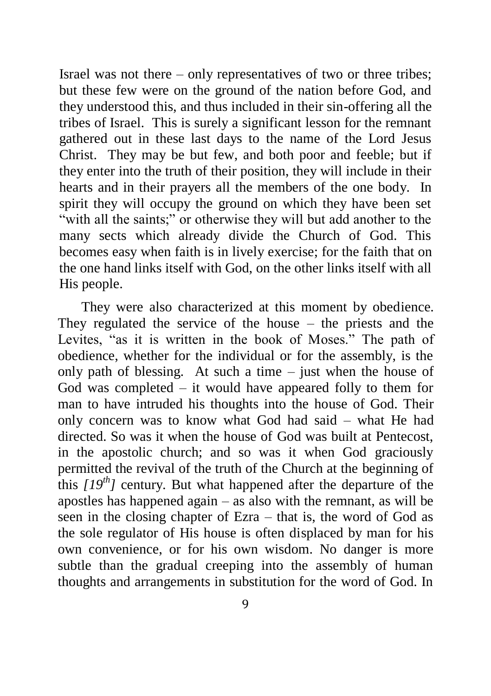Israel was not there – only representatives of two or three tribes; but these few were on the ground of the nation before God, and they understood this, and thus included in their sin-offering all the tribes of Israel. This is surely a significant lesson for the remnant gathered out in these last days to the name of the Lord Jesus Christ. They may be but few, and both poor and feeble; but if they enter into the truth of their position, they will include in their hearts and in their prayers all the members of the one body. In spirit they will occupy the ground on which they have been set "with all the saints;" or otherwise they will but add another to the many sects which already divide the Church of God. This becomes easy when faith is in lively exercise; for the faith that on the one hand links itself with God, on the other links itself with all His people.

They were also characterized at this moment by obedience. They regulated the service of the house – the priests and the Levites, "as it is written in the book of Moses." The path of obedience, whether for the individual or for the assembly, is the only path of blessing. At such a time – just when the house of God was completed – it would have appeared folly to them for man to have intruded his thoughts into the house of God. Their only concern was to know what God had said – what He had directed. So was it when the house of God was built at Pentecost, in the apostolic church; and so was it when God graciously permitted the revival of the truth of the Church at the beginning of this  $[19<sup>th</sup>]$  century. But what happened after the departure of the apostles has happened again – as also with the remnant, as will be seen in the closing chapter of Ezra – that is, the word of God as the sole regulator of His house is often displaced by man for his own convenience, or for his own wisdom. No danger is more subtle than the gradual creeping into the assembly of human thoughts and arrangements in substitution for the word of God. In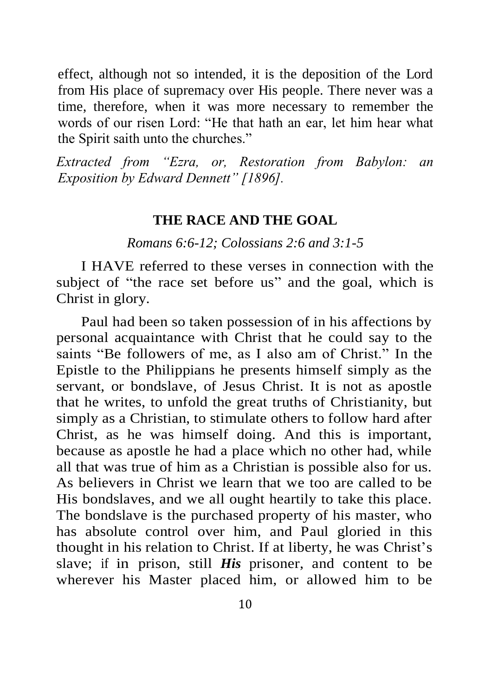effect, although not so intended, it is the deposition of the Lord from His place of supremacy over His people. There never was a time, therefore, when it was more necessary to remember the words of our risen Lord: "He that hath an ear, let him hear what the Spirit saith unto the churches."

*Extracted from "Ezra, or, Restoration from Babylon: an Exposition by Edward Dennett" [1896].*

### **THE RACE AND THE GOAL**

*Romans 6:6-12; Colossians 2:6 and 3:1-5*

I HAVE referred to these verses in connection with the subject of "the race set before us" and the goal, which is Christ in glory.

Paul had been so taken possession of in his affections by personal acquaintance with Christ that he could say to the saints "Be followers of me, as I also am of Christ." In the Epistle to the Philippians he presents himself simply as the servant, or bondslave, of Jesus Christ. It is not as apostle that he writes, to unfold the great truths of Christianity, but simply as a Christian, to stimulate others to follow hard after Christ, as he was himself doing. And this is important, because as apostle he had a place which no other had, while all that was true of him as a Christian is possible also for us. As believers in Christ we learn that we too are called to be His bondslaves, and we all ought heartily to take this place. The bondslave is the purchased property of his master, who has absolute control over him, and Paul gloried in this thought in his relation to Christ. If at liberty, he was Christ's slave; if in prison, still *His* prisoner, and content to be wherever his Master placed him, or allowed him to be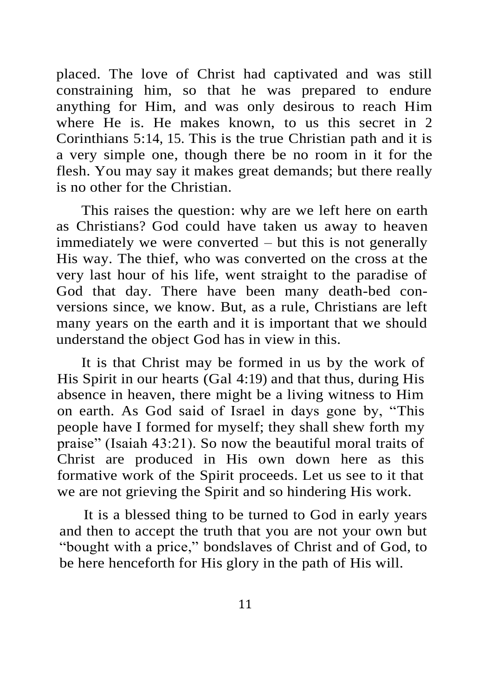placed. The love of Christ had captivated and was still constraining him, so that he was prepared to endure anything for Him, and was only desirous to reach Him where He is. He makes known, to us this secret in 2 Corinthians 5:14, 15. This is the true Christian path and it is a very simple one, though there be no room in it for the flesh. You may say it makes great demands; but there really is no other for the Christian.

This raises the question: why are we left here on earth as Christians? God could have taken us away to heaven immediately we were converted – but this is not generally His way. The thief, who was converted on the cross at the very last hour of his life, went straight to the paradise of God that day. There have been many death-bed conversions since, we know. But, as a rule, Christians are left many years on the earth and it is important that we should understand the object God has in view in this.

It is that Christ may be formed in us by the work of His Spirit in our hearts (Gal 4:19) and that thus, during His absence in heaven, there might be a living witness to Him on earth. As God said of Israel in days gone by, "This people have I formed for myself; they shall shew forth my praise" (Isaiah 43:21). So now the beautiful moral traits of Christ are produced in His own down here as this formative work of the Spirit proceeds. Let us see to it that we are not grieving the Spirit and so hindering His work.

It is a blessed thing to be turned to God in early years and then to accept the truth that you are not your own but "bought with a price," bondslaves of Christ and of God, to be here henceforth for His glory in the path of His will.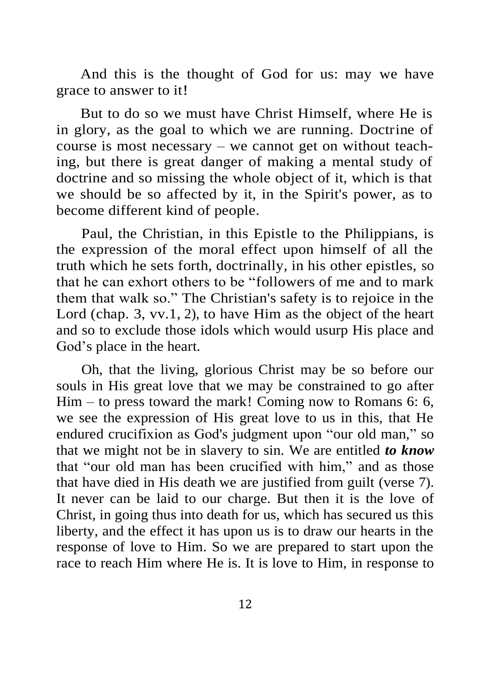And this is the thought of God for us: may we have grace to answer to it!

But to do so we must have Christ Himself, where He is in glory, as the goal to which we are running. Doctrine of course is most necessary – we cannot get on without teaching, but there is great danger of making a mental study of doctrine and so missing the whole object of it, which is that we should be so affected by it, in the Spirit's power, as to become different kind of people.

Paul, the Christian, in this Epistle to the Philippians, is the expression of the moral effect upon himself of all the truth which he sets forth, doctrinally, in his other epistles, so that he can exhort others to be "followers of me and to mark them that walk so." The Christian's safety is to rejoice in the Lord (chap. 3, vv.1, 2), to have Him as the object of the heart and so to exclude those idols which would usurp His place and God's place in the heart.

Oh, that the living, glorious Christ may be so before our souls in His great love that we may be constrained to go after Him – to press toward the mark! Coming now to Romans 6: 6, we see the expression of His great love to us in this, that He endured crucifixion as God's judgment upon "our old man," so that we might not be in slavery to sin. We are entitled *to know* that "our old man has been crucified with him," and as those that have died in His death we are justified from guilt (verse 7). It never can be laid to our charge. But then it is the love of Christ, in going thus into death for us, which has secured us this liberty, and the effect it has upon us is to draw our hearts in the response of love to Him. So we are prepared to start upon the race to reach Him where He is. It is love to Him, in response to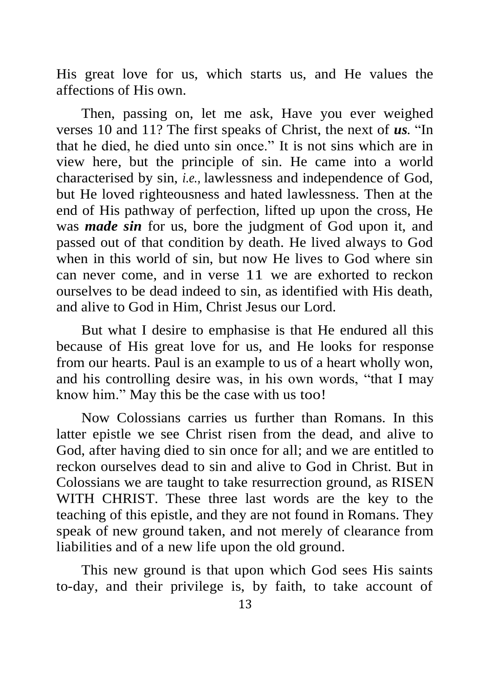His great love for us, which starts us, and He values the affections of His own.

Then, passing on, let me ask, Have you ever weighed verses 10 and 11? The first speaks of Christ, the next of *us.* "In that he died, he died unto sin once." It is not sins which are in view here, but the principle of sin. He came into a world characterised by sin, *i.e.,* lawlessness and independence of God, but He loved righteousness and hated lawlessness. Then at the end of His pathway of perfection, lifted up upon the cross, He was *made sin* for us, bore the judgment of God upon it, and passed out of that condition by death. He lived always to God when in this world of sin, but now He lives to God where sin can never come, and in verse 11 we are exhorted to reckon ourselves to be dead indeed to sin, as identified with His death, and alive to God in Him, Christ Jesus our Lord.

But what I desire to emphasise is that He endured all this because of His great love for us, and He looks for response from our hearts. Paul is an example to us of a heart wholly won, and his controlling desire was, in his own words, "that I may know him." May this be the case with us too!

Now Colossians carries us further than Romans. In this latter epistle we see Christ risen from the dead, and alive to God, after having died to sin once for all; and we are entitled to reckon ourselves dead to sin and alive to God in Christ. But in Colossians we are taught to take resurrection ground, as RISEN WITH CHRIST. These three last words are the key to the teaching of this epistle, and they are not found in Romans. They speak of new ground taken, and not merely of clearance from liabilities and of a new life upon the old ground.

This new ground is that upon which God sees His saints to-day, and their privilege is, by faith, to take account of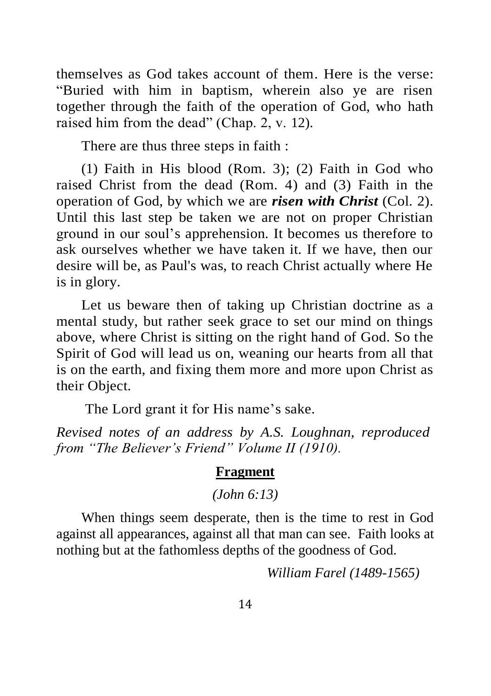themselves as God takes account of them. Here is the verse: "Buried with him in baptism, wherein also ye are risen together through the faith of the operation of God, who hath raised him from the dead" (Chap. 2, v. 12).

There are thus three steps in faith :

(1) Faith in His blood (Rom. 3); (2) Faith in God who raised Christ from the dead (Rom. 4) and (3) Faith in the operation of God, by which we are *risen with Christ* (Col. 2). Until this last step be taken we are not on proper Christian ground in our soul's apprehension. It becomes us therefore to ask ourselves whether we have taken it. If we have, then our desire will be, as Paul's was, to reach Christ actually where He is in glory.

Let us beware then of taking up Christian doctrine as a mental study, but rather seek grace to set our mind on things above, where Christ is sitting on the right hand of God. So the Spirit of God will lead us on, weaning our hearts from all that is on the earth, and fixing them more and more upon Christ as their Object.

The Lord grant it for His name's sake.

*Revised notes of an address by A.S. Loughnan, reproduced from "The Believer's Friend" Volume II (1910).*

#### **Fragment**

*(John 6:13)*

When things seem desperate, then is the time to rest in God against all appearances, against all that man can see. Faith looks at nothing but at the fathomless depths of the goodness of God.

*William Farel (1489-1565)*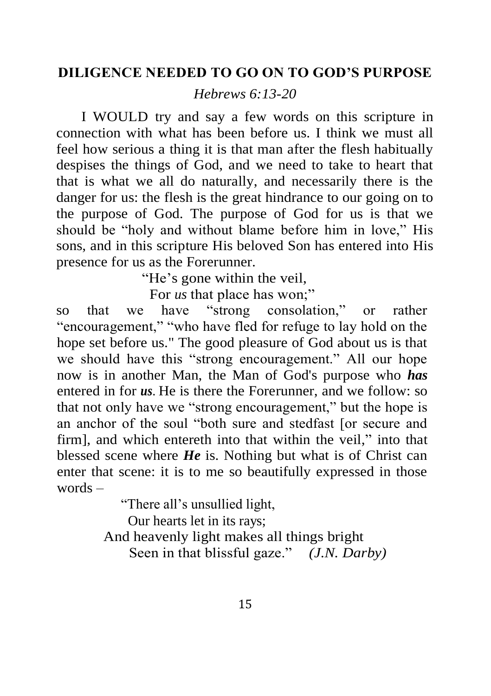# **DILIGENCE NEEDED TO GO ON TO GOD'S PURPOSE**

*Hebrews 6:13-20*

I WOULD try and say a few words on this scripture in connection with what has been before us. I think we must all feel how serious a thing it is that man after the flesh habitually despises the things of God, and we need to take to heart that that is what we all do naturally, and necessarily there is the danger for us: the flesh is the great hindrance to our going on to the purpose of God. The purpose of God for us is that we should be "holy and without blame before him in love," His sons, and in this scripture His beloved Son has entered into His presence for us as the Forerunner.

"He's gone within the veil,

For *us* that place has won;"

so that we have "strong consolation," or rather "encouragement," "who have fled for refuge to lay hold on the hope set before us." The good pleasure of God about us is that we should have this "strong encouragement." All our hope now is in another Man, the Man of God's purpose who *has*  entered in for *us*. He is there the Forerunner, and we follow: so that not only have we "strong encouragement," but the hope is an anchor of the soul "both sure and stedfast [or secure and firm], and which entereth into that within the veil," into that blessed scene where *He* is. Nothing but what is of Christ can enter that scene: it is to me so beautifully expressed in those words –

"There all's unsullied light,

Our hearts let in its rays;

And heavenly light makes all things bright

Seen in that blissful gaze." *(J.N. Darby)*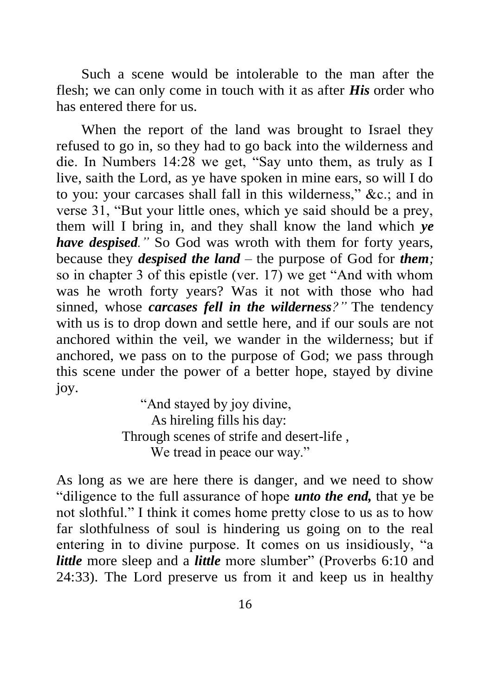Such a scene would be intolerable to the man after the flesh; we can only come in touch with it as after *His* order who has entered there for us.

When the report of the land was brought to Israel they refused to go in, so they had to go back into the wilderness and die. In Numbers 14:28 we get, "Say unto them, as truly as I live, saith the Lord, as ye have spoken in mine ears, so will I do to you: your carcases shall fall in this wilderness," &c.; and in verse 31, "But your little ones, which ye said should be a prey, them will I bring in, and they shall know the land which *ye have despised."* So God was wroth with them for forty years, because they *despised the land –* the purpose of God for *them;*  so in chapter 3 of this epistle (ver. 17) we get "And with whom was he wroth forty years? Was it not with those who had sinned, whose *carcases fell in the wilderness?"* The tendency with us is to drop down and settle here, and if our souls are not anchored within the veil, we wander in the wilderness; but if anchored, we pass on to the purpose of God; we pass through this scene under the power of a better hope, stayed by divine joy.

> "And stayed by joy divine, As hireling fills his day: Through scenes of strife and desert-life , We tread in peace our way."

As long as we are here there is danger, and we need to show "diligence to the full assurance of hope *unto the end,* that ye be not slothful." I think it comes home pretty close to us as to how far slothfulness of soul is hindering us going on to the real entering in to divine purpose. It comes on us insidiously, "a *little* more sleep and a *little* more slumber" (Proverbs 6:10 and 24:33). The Lord preserve us from it and keep us in healthy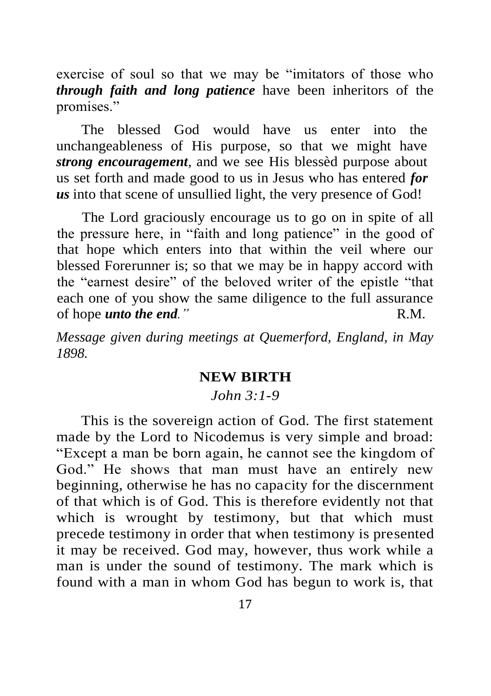exercise of soul so that we may be "imitators of those who *through faith and long patience* have been inheritors of the promises."

The blessed God would have us enter into the unchangeableness of His purpose, so that we might have *strong encouragement,* and we see His blessèd purpose about us set forth and made good to us in Jesus who has entered *for us* into that scene of unsullied light, the very presence of God!

The Lord graciously encourage us to go on in spite of all the pressure here, in "faith and long patience" in the good of that hope which enters into that within the veil where our blessed Forerunner is; so that we may be in happy accord with the "earnest desire" of the beloved writer of the epistle "that each one of you show the same diligence to the full assurance of hope *unto the end."* R.M.

*Message given during meetings at Quemerford, England, in May 1898.*

### **NEW BIRTH**

### *John 3:1-9*

This is the sovereign action of God. The first statement made by the Lord to Nicodemus is very simple and broad: "Except a man be born again, he cannot see the kingdom of God." He shows that man must have an entirely new beginning, otherwise he has no capacity for the discernment of that which is of God. This is therefore evidently not that which is wrought by testimony, but that which must precede testimony in order that when testimony is presented it may be received. God may, however, thus work while a man is under the sound of testimony. The mark which is found with a man in whom God has begun to work is, that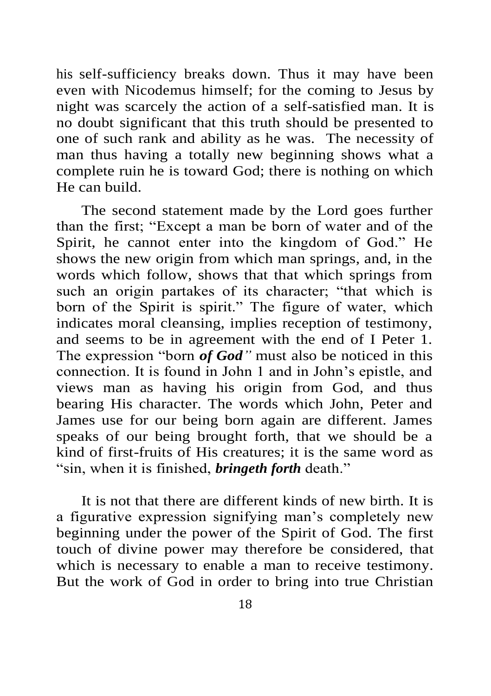his self-sufficiency breaks down. Thus it may have been even with Nicodemus himself; for the coming to Jesus by night was scarcely the action of a self-satisfied man. It is no doubt significant that this truth should be presented to one of such rank and ability as he was. The necessity of man thus having a totally new beginning shows what a complete ruin he is toward God; there is nothing on which He can build.

The second statement made by the Lord goes further than the first; "Except a man be born of water and of the Spirit, he cannot enter into the kingdom of God." He shows the new origin from which man springs, and, in the words which follow, shows that that which springs from such an origin partakes of its character; "that which is born of the Spirit is spirit." The figure of water, which indicates moral cleansing, implies reception of testimony, and seems to be in agreement with the end of I Peter 1. The expression "born *of God"* must also be noticed in this connection. It is found in John 1 and in John's epistle, and views man as having his origin from God, and thus bearing His character. The words which John, Peter and James use for our being born again are different. James speaks of our being brought forth, that we should be a kind of first-fruits of His creatures; it is the same word as "sin, when it is finished, *bringeth forth* death."

It is not that there are different kinds of new birth. It is a figurative expression signifying man's completely new beginning under the power of the Spirit of God. The first touch of divine power may therefore be considered, that which is necessary to enable a man to receive testimony. But the work of God in order to bring into true Christian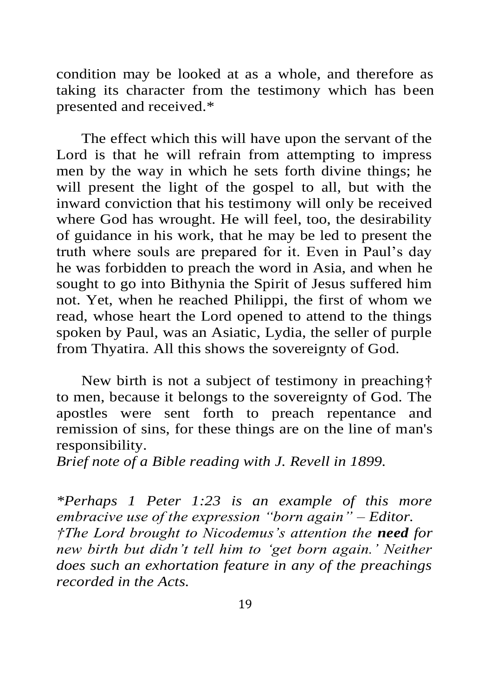condition may be looked at as a whole, and therefore as taking its character from the testimony which has been presented and received.\*

The effect which this will have upon the servant of the Lord is that he will refrain from attempting to impress men by the way in which he sets forth divine things; he will present the light of the gospel to all, but with the inward conviction that his testimony will only be received where God has wrought. He will feel, too, the desirability of guidance in his work, that he may be led to present the truth where souls are prepared for it. Even in Paul's day he was forbidden to preach the word in Asia, and when he sought to go into Bithynia the Spirit of Jesus suffered him not. Yet, when he reached Philippi, the first of whom we read, whose heart the Lord opened to attend to the things spoken by Paul, was an Asiatic, Lydia, the seller of purple from Thyatira. All this shows the sovereignty of God.

New birth is not a subject of testimony in preaching† to men, because it belongs to the sovereignty of God. The apostles were sent forth to preach repentance and remission of sins, for these things are on the line of man's responsibility.

*Brief note of a Bible reading with J. Revell in 1899.*

*\*Perhaps 1 Peter 1:23 is an example of this more embracive use of the expression "born again" – Editor. †The Lord brought to Nicodemus's attention the need for new birth but didn't tell him to 'get born again.' Neither does such an exhortation feature in any of the preachings recorded in the Acts.*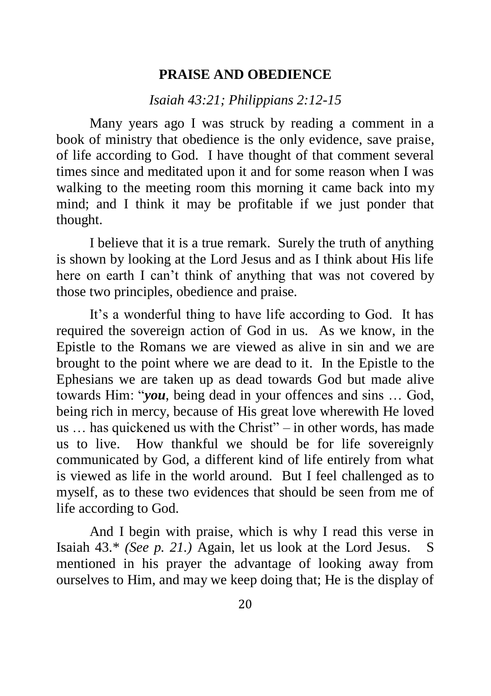#### **PRAISE AND OBEDIENCE**

*Isaiah 43:21; Philippians 2:12-15*

Many years ago I was struck by reading a comment in a book of ministry that obedience is the only evidence, save praise, of life according to God. I have thought of that comment several times since and meditated upon it and for some reason when I was walking to the meeting room this morning it came back into my mind; and I think it may be profitable if we just ponder that thought.

I believe that it is a true remark. Surely the truth of anything is shown by looking at the Lord Jesus and as I think about His life here on earth I can't think of anything that was not covered by those two principles, obedience and praise.

It's a wonderful thing to have life according to God. It has required the sovereign action of God in us. As we know, in the Epistle to the Romans we are viewed as alive in sin and we are brought to the point where we are dead to it. In the Epistle to the Ephesians we are taken up as dead towards God but made alive towards Him: "*you*, being dead in your offences and sins … God, being rich in mercy, because of His great love wherewith He loved us … has quickened us with the Christ" – in other words, has made us to live. How thankful we should be for life sovereignly communicated by God, a different kind of life entirely from what is viewed as life in the world around. But I feel challenged as to myself, as to these two evidences that should be seen from me of life according to God.

And I begin with praise, which is why I read this verse in Isaiah 43.\* *(See p. 21.)* Again, let us look at the Lord Jesus. S mentioned in his prayer the advantage of looking away from ourselves to Him, and may we keep doing that; He is the display of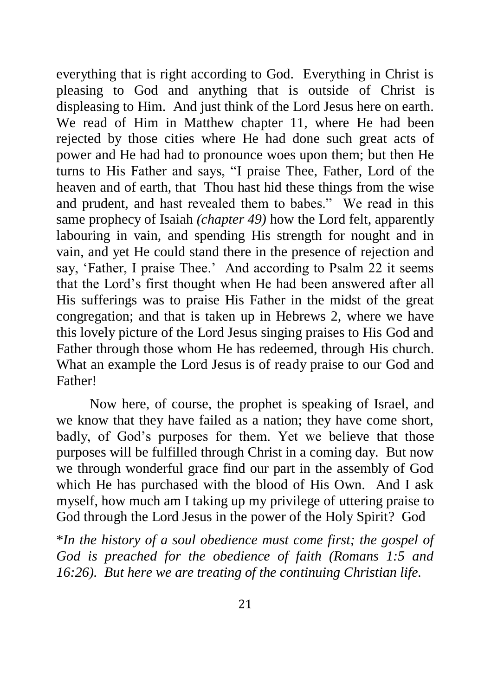everything that is right according to God. Everything in Christ is pleasing to God and anything that is outside of Christ is displeasing to Him. And just think of the Lord Jesus here on earth. We read of Him in Matthew chapter 11, where He had been rejected by those cities where He had done such great acts of power and He had had to pronounce woes upon them; but then He turns to His Father and says, "I praise Thee, Father, Lord of the heaven and of earth, that Thou hast hid these things from the wise and prudent, and hast revealed them to babes." We read in this same prophecy of Isaiah *(chapter 49)* how the Lord felt, apparently labouring in vain, and spending His strength for nought and in vain, and yet He could stand there in the presence of rejection and say, 'Father, I praise Thee.' And according to Psalm 22 it seems that the Lord's first thought when He had been answered after all His sufferings was to praise His Father in the midst of the great congregation; and that is taken up in Hebrews 2, where we have this lovely picture of the Lord Jesus singing praises to His God and Father through those whom He has redeemed, through His church. What an example the Lord Jesus is of ready praise to our God and Father!

Now here, of course, the prophet is speaking of Israel, and we know that they have failed as a nation; they have come short, badly, of God's purposes for them. Yet we believe that those purposes will be fulfilled through Christ in a coming day. But now we through wonderful grace find our part in the assembly of God which He has purchased with the blood of His Own. And I ask myself, how much am I taking up my privilege of uttering praise to God through the Lord Jesus in the power of the Holy Spirit? God

\**In the history of a soul obedience must come first; the gospel of God is preached for the obedience of faith (Romans 1:5 and 16:26). But here we are treating of the continuing Christian life.*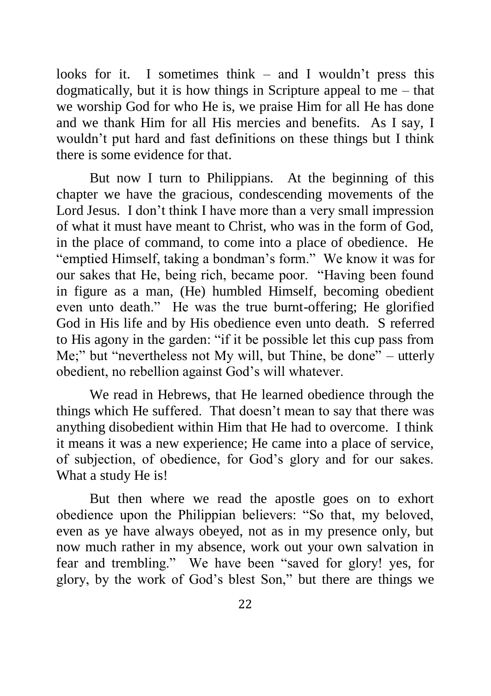looks for it. I sometimes think – and I wouldn't press this dogmatically, but it is how things in Scripture appeal to me – that we worship God for who He is, we praise Him for all He has done and we thank Him for all His mercies and benefits. As I say, I wouldn't put hard and fast definitions on these things but I think there is some evidence for that.

But now I turn to Philippians. At the beginning of this chapter we have the gracious, condescending movements of the Lord Jesus. I don't think I have more than a very small impression of what it must have meant to Christ, who was in the form of God, in the place of command, to come into a place of obedience. He "emptied Himself, taking a bondman's form." We know it was for our sakes that He, being rich, became poor. "Having been found in figure as a man, (He) humbled Himself, becoming obedient even unto death." He was the true burnt-offering; He glorified God in His life and by His obedience even unto death. S referred to His agony in the garden: "if it be possible let this cup pass from Me;" but "nevertheless not My will, but Thine, be done" – utterly obedient, no rebellion against God's will whatever.

We read in Hebrews, that He learned obedience through the things which He suffered. That doesn't mean to say that there was anything disobedient within Him that He had to overcome. I think it means it was a new experience; He came into a place of service, of subjection, of obedience, for God's glory and for our sakes. What a study He is!

But then where we read the apostle goes on to exhort obedience upon the Philippian believers: "So that, my beloved, even as ye have always obeyed, not as in my presence only, but now much rather in my absence, work out your own salvation in fear and trembling." We have been "saved for glory! yes, for glory, by the work of God's blest Son," but there are things we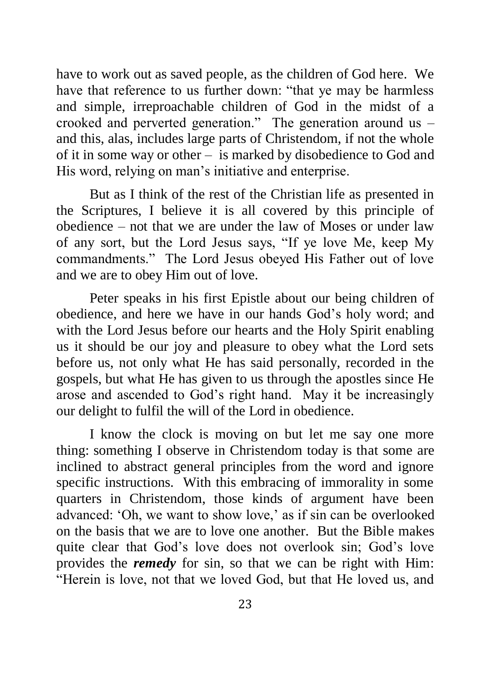have to work out as saved people, as the children of God here. We have that reference to us further down: "that ye may be harmless and simple, irreproachable children of God in the midst of a crooked and perverted generation." The generation around us – and this, alas, includes large parts of Christendom, if not the whole of it in some way or other – is marked by disobedience to God and His word, relying on man's initiative and enterprise.

But as I think of the rest of the Christian life as presented in the Scriptures, I believe it is all covered by this principle of obedience – not that we are under the law of Moses or under law of any sort, but the Lord Jesus says, "If ye love Me, keep My commandments." The Lord Jesus obeyed His Father out of love and we are to obey Him out of love.

Peter speaks in his first Epistle about our being children of obedience, and here we have in our hands God's holy word; and with the Lord Jesus before our hearts and the Holy Spirit enabling us it should be our joy and pleasure to obey what the Lord sets before us, not only what He has said personally, recorded in the gospels, but what He has given to us through the apostles since He arose and ascended to God's right hand. May it be increasingly our delight to fulfil the will of the Lord in obedience.

I know the clock is moving on but let me say one more thing: something I observe in Christendom today is that some are inclined to abstract general principles from the word and ignore specific instructions. With this embracing of immorality in some quarters in Christendom, those kinds of argument have been advanced: 'Oh, we want to show love,' as if sin can be overlooked on the basis that we are to love one another. But the Bible makes quite clear that God's love does not overlook sin; God's love provides the *remedy* for sin, so that we can be right with Him: "Herein is love, not that we loved God, but that He loved us, and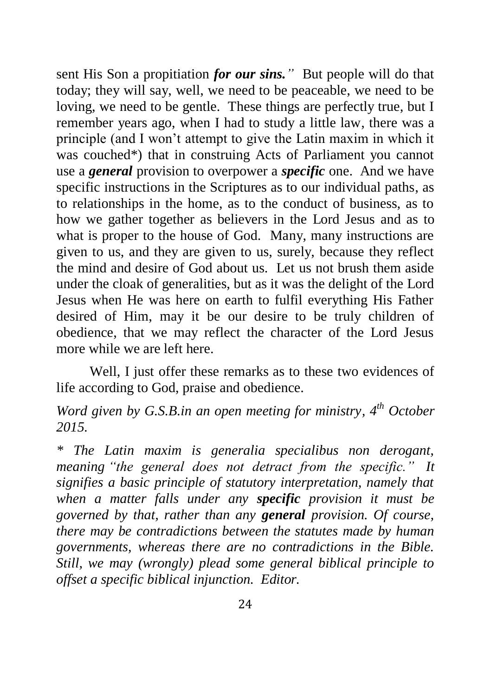sent His Son a propitiation *for our sins."* But people will do that today; they will say, well, we need to be peaceable, we need to be loving, we need to be gentle. These things are perfectly true, but I remember years ago, when I had to study a little law, there was a principle (and I won't attempt to give the Latin maxim in which it was couched\*) that in construing Acts of Parliament you cannot use a *general* provision to overpower a *specific* one. And we have specific instructions in the Scriptures as to our individual paths, as to relationships in the home, as to the conduct of business, as to how we gather together as believers in the Lord Jesus and as to what is proper to the house of God. Many, many instructions are given to us, and they are given to us, surely, because they reflect the mind and desire of God about us. Let us not brush them aside under the cloak of generalities, but as it was the delight of the Lord Jesus when He was here on earth to fulfil everything His Father desired of Him, may it be our desire to be truly children of obedience, that we may reflect the character of the Lord Jesus more while we are left here.

Well. I just offer these remarks as to these two evidences of life according to God, praise and obedience.

*Word given by G.S.B.in an open meeting for ministry, 4th October 2015.*

*\* The Latin maxim is generalia specialibus non derogant, meaning "the general does not detract from the specific." It signifies a basic principle of statutory interpretation, namely that when a matter falls under any specific provision it must be governed by that, rather than any general provision. Of course, there may be contradictions between the statutes made by human governments, whereas there are no contradictions in the Bible. Still, we may (wrongly) plead some general biblical principle to offset a specific biblical injunction. Editor.*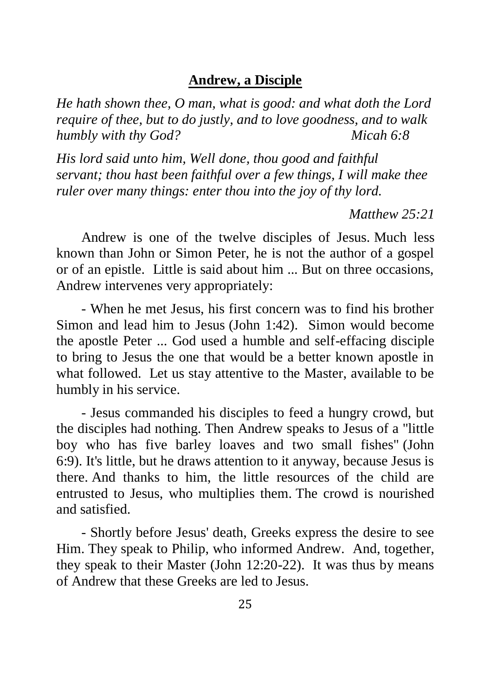### **Andrew, a Disciple**

*He hath shown thee, O man, what is good: and what doth the Lord require of thee, but to do justly, and to love goodness, and to walk humbly with thy God? Micah 6:8*

*His lord said unto him, Well done, thou good and faithful servant; thou hast been faithful over a few things, I will make thee ruler over many things: enter thou into the joy of thy lord.*

*Matthew 25:21*

Andrew is one of the twelve disciples of Jesus. Much less known than John or Simon Peter, he is not the author of a gospel or of an epistle. Little is said about him ... But on three occasions, Andrew intervenes very appropriately:

- When he met Jesus, his first concern was to find his brother Simon and lead him to Jesus (John 1:42). Simon would become the apostle Peter ... God used a humble and self-effacing disciple to bring to Jesus the one that would be a better known apostle in what followed. Let us stay attentive to the Master, available to be humbly in his service.

- Jesus commanded his disciples to feed a hungry crowd, but the disciples had nothing. Then Andrew speaks to Jesus of a "little boy who has five barley loaves and two small fishes" (John 6:9). It's little, but he draws attention to it anyway, because Jesus is there. And thanks to him, the little resources of the child are entrusted to Jesus, who multiplies them. The crowd is nourished and satisfied.

- Shortly before Jesus' death, Greeks express the desire to see Him. They speak to Philip, who informed Andrew. And, together, they speak to their Master (John 12:20-22). It was thus by means of Andrew that these Greeks are led to Jesus.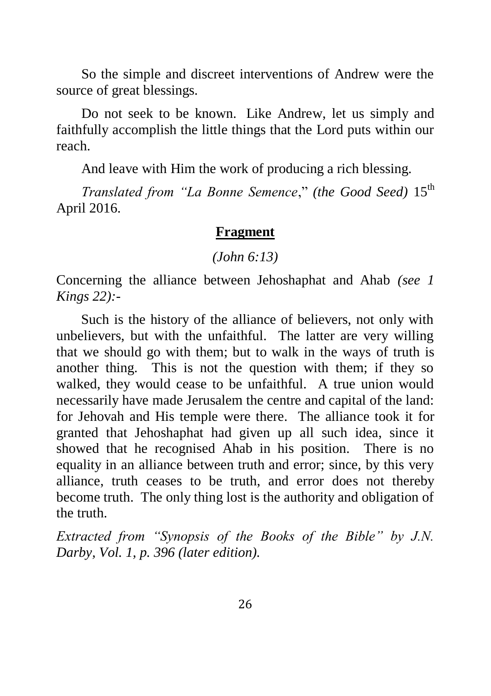So the simple and discreet interventions of Andrew were the source of great blessings.

Do not seek to be known. Like Andrew, let us simply and faithfully accomplish the little things that the Lord puts within our reach.

And leave with Him the work of producing a rich blessing.

*Translated from "La Bonne Semence," (the Good Seed)* 15<sup>th</sup> April 2016.

#### **Fragment**

#### *(John 6:13)*

Concerning the alliance between Jehoshaphat and Ahab *(see 1 Kings 22):-*

Such is the history of the alliance of believers, not only with unbelievers, but with the unfaithful. The latter are very willing that we should go with them; but to walk in the ways of truth is another thing. This is not the question with them; if they so walked, they would cease to be unfaithful. A true union would necessarily have made Jerusalem the centre and capital of the land: for Jehovah and His temple were there. The alliance took it for granted that Jehoshaphat had given up all such idea, since it showed that he recognised Ahab in his position. There is no equality in an alliance between truth and error; since, by this very alliance, truth ceases to be truth, and error does not thereby become truth. The only thing lost is the authority and obligation of the truth.

*Extracted from "Synopsis of the Books of the Bible" by J.N. Darby, Vol. 1, p. 396 (later edition).*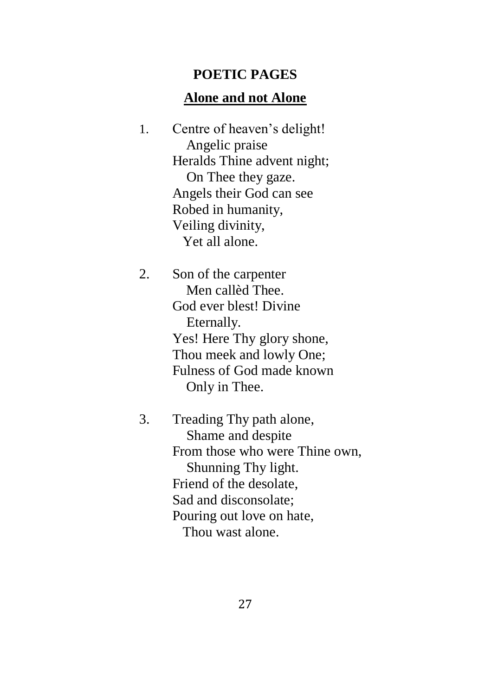### **POETIC PAGES**

## **Alone and not Alone**

1. Centre of heaven's delight! Angelic praise Heralds Thine advent night; On Thee they gaze. Angels their God can see Robed in humanity, Veiling divinity, Yet all alone.

2. Son of the carpenter Men callèd Thee. God ever blest! Divine Eternally. Yes! Here Thy glory shone, Thou meek and lowly One; Fulness of God made known Only in Thee.

3. Treading Thy path alone, Shame and despite From those who were Thine own, Shunning Thy light. Friend of the desolate, Sad and disconsolate; Pouring out love on hate, Thou wast alone.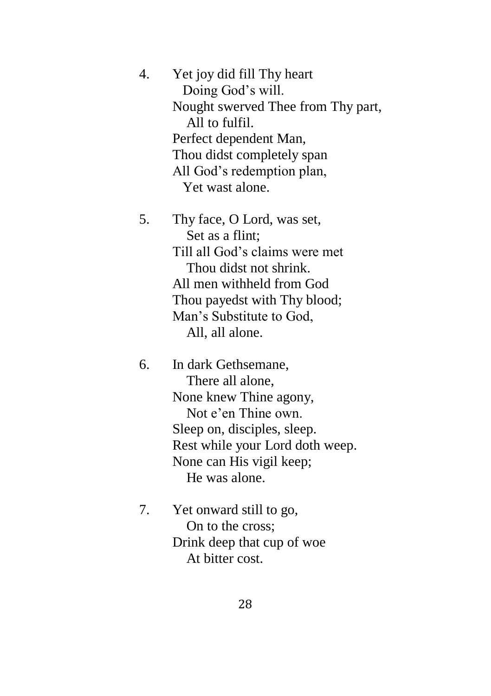| 4. | Yet joy did fill Thy heart         |
|----|------------------------------------|
|    | Doing God's will.                  |
|    | Nought swerved Thee from Thy part, |
|    | All to fulfil.                     |
|    | Perfect dependent Man,             |
|    | Thou didst completely span         |
|    | All God's redemption plan,         |
|    | Yet wast alone.                    |

5. Thy face, O Lord, was set, Set as a flint; Till all God's claims were met Thou didst not shrink. All men withheld from God Thou payedst with Thy blood; Man's Substitute to God, All, all alone.

6. In dark Gethsemane, There all alone, None knew Thine agony, Not e'en Thine own. Sleep on, disciples, sleep. Rest while your Lord doth weep. None can His vigil keep; He was alone.

7. Yet onward still to go, On to the cross; Drink deep that cup of woe At bitter cost.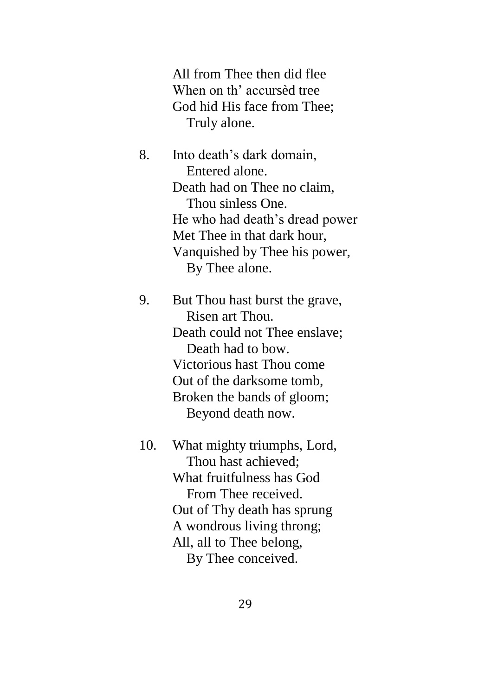All from Thee then did flee When on th' accursèd tree God hid His face from Thee; Truly alone.

8. Into death's dark domain, Entered alone. Death had on Thee no claim, Thou sinless One. He who had death's dread power Met Thee in that dark hour, Vanquished by Thee his power, By Thee alone.

9. But Thou hast burst the grave, Risen art Thou. Death could not Thee enslave; Death had to bow. Victorious hast Thou come Out of the darksome tomb, Broken the bands of gloom; Beyond death now.

10. What mighty triumphs, Lord, Thou hast achieved; What fruitfulness has God From Thee received. Out of Thy death has sprung A wondrous living throng; All, all to Thee belong, By Thee conceived.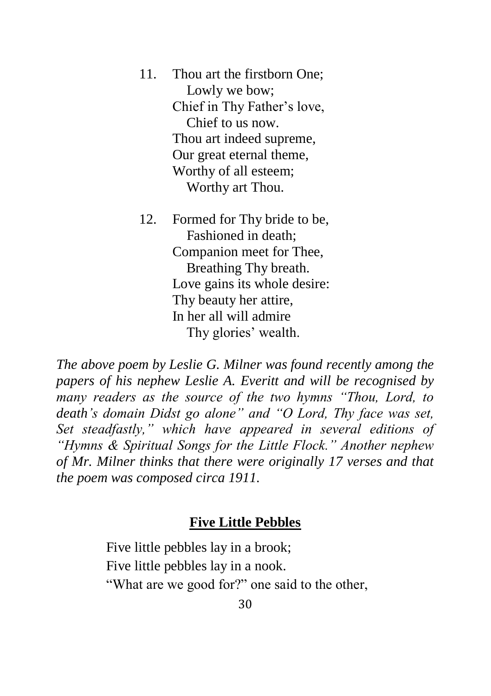- 11. Thou art the firstborn One; Lowly we bow; Chief in Thy Father's love, Chief to us now. Thou art indeed supreme, Our great eternal theme, Worthy of all esteem; Worthy art Thou.
- 12. Formed for Thy bride to be, Fashioned in death; Companion meet for Thee, Breathing Thy breath. Love gains its whole desire: Thy beauty her attire, In her all will admire Thy glories' wealth.

*The above poem by Leslie G. Milner was found recently among the papers of his nephew Leslie A. Everitt and will be recognised by many readers as the source of the two hymns "Thou, Lord, to death's domain Didst go alone" and "O Lord, Thy face was set, Set steadfastly," which have appeared in several editions of "Hymns & Spiritual Songs for the Little Flock." Another nephew of Mr. Milner thinks that there were originally 17 verses and that the poem was composed circa 1911.*

### **Five Little Pebbles**

Five little pebbles lay in a brook; Five little pebbles lay in a nook. "What are we good for?" one said to the other,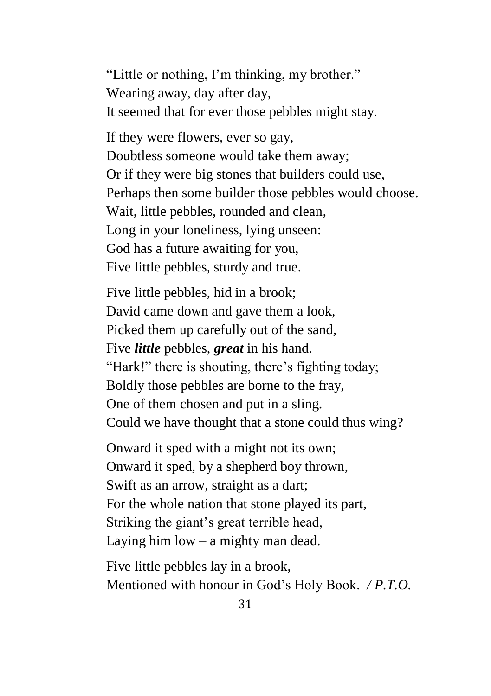"Little or nothing, I'm thinking, my brother." Wearing away, day after day, It seemed that for ever those pebbles might stay.

If they were flowers, ever so gay, Doubtless someone would take them away; Or if they were big stones that builders could use, Perhaps then some builder those pebbles would choose. Wait, little pebbles, rounded and clean, Long in your loneliness, lying unseen: God has a future awaiting for you, Five little pebbles, sturdy and true.

Five little pebbles, hid in a brook; David came down and gave them a look, Picked them up carefully out of the sand, Five *little* pebbles, *great* in his hand. "Hark!" there is shouting, there's fighting today; Boldly those pebbles are borne to the fray, One of them chosen and put in a sling. Could we have thought that a stone could thus wing?

Onward it sped with a might not its own; Onward it sped, by a shepherd boy thrown, Swift as an arrow, straight as a dart; For the whole nation that stone played its part, Striking the giant's great terrible head, Laying him low – a mighty man dead.

Five little pebbles lay in a brook, Mentioned with honour in God's Holy Book. */ P.T.O.*